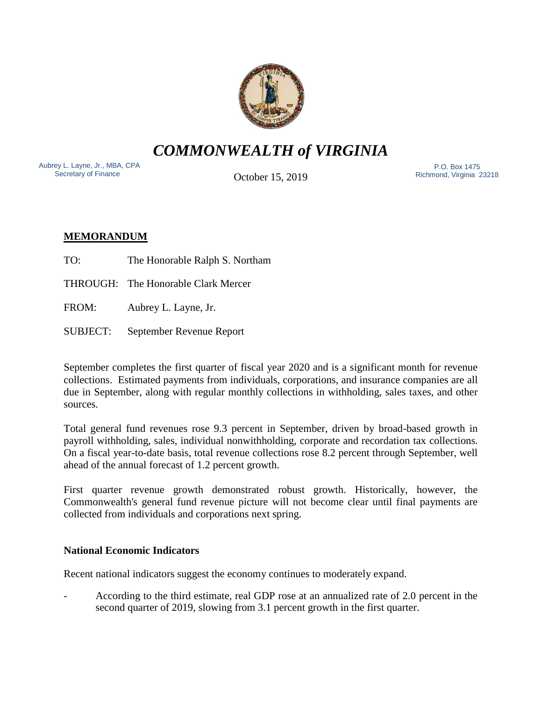

*COMMONWEALTH of VIRGINIA*

Aubrey L. Layne, Jr., MBA, CPA Secretary of Finance

October 15, 2019

 P.O. Box 1475 Richmond, Virginia 23218

# **MEMORANDUM**

- TO: The Honorable Ralph S. Northam
- THROUGH: The Honorable Clark Mercer
- FROM: Aubrey L. Layne, Jr.
- SUBJECT: September Revenue Report

September completes the first quarter of fiscal year 2020 and is a significant month for revenue collections. Estimated payments from individuals, corporations, and insurance companies are all due in September, along with regular monthly collections in withholding, sales taxes, and other sources.

Total general fund revenues rose 9.3 percent in September, driven by broad-based growth in payroll withholding, sales, individual nonwithholding, corporate and recordation tax collections. On a fiscal year-to-date basis, total revenue collections rose 8.2 percent through September, well ahead of the annual forecast of 1.2 percent growth.

First quarter revenue growth demonstrated robust growth. Historically, however, the Commonwealth's general fund revenue picture will not become clear until final payments are collected from individuals and corporations next spring.

## **National Economic Indicators**

Recent national indicators suggest the economy continues to moderately expand.

- According to the third estimate, real GDP rose at an annualized rate of 2.0 percent in the second quarter of 2019, slowing from 3.1 percent growth in the first quarter.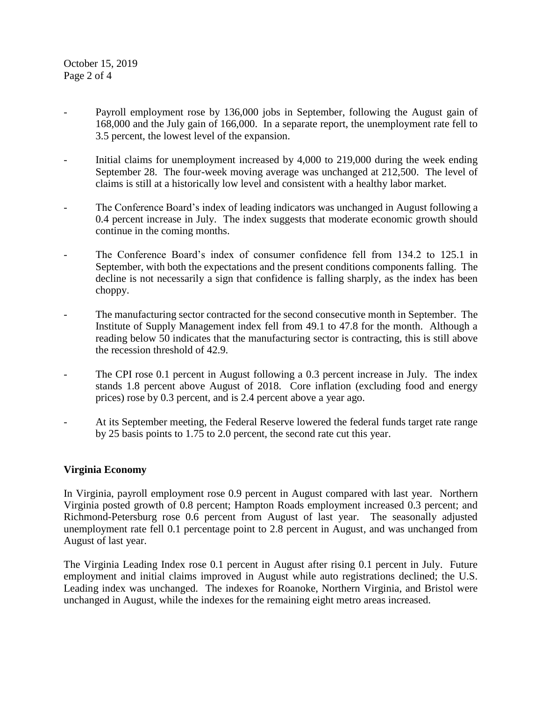October 15, 2019 Page 2 of 4

- Payroll employment rose by 136,000 jobs in September, following the August gain of 168,000 and the July gain of 166,000. In a separate report, the unemployment rate fell to 3.5 percent, the lowest level of the expansion.
- Initial claims for unemployment increased by 4,000 to 219,000 during the week ending September 28. The four-week moving average was unchanged at 212,500. The level of claims is still at a historically low level and consistent with a healthy labor market.
- The Conference Board's index of leading indicators was unchanged in August following a 0.4 percent increase in July. The index suggests that moderate economic growth should continue in the coming months.
- The Conference Board's index of consumer confidence fell from 134.2 to 125.1 in September, with both the expectations and the present conditions components falling. The decline is not necessarily a sign that confidence is falling sharply, as the index has been choppy.
- The manufacturing sector contracted for the second consecutive month in September. The Institute of Supply Management index fell from 49.1 to 47.8 for the month. Although a reading below 50 indicates that the manufacturing sector is contracting, this is still above the recession threshold of 42.9.
- The CPI rose 0.1 percent in August following a 0.3 percent increase in July. The index stands 1.8 percent above August of 2018. Core inflation (excluding food and energy prices) rose by 0.3 percent, and is 2.4 percent above a year ago.
- At its September meeting, the Federal Reserve lowered the federal funds target rate range by 25 basis points to 1.75 to 2.0 percent, the second rate cut this year.

### **Virginia Economy**

In Virginia, payroll employment rose 0.9 percent in August compared with last year. Northern Virginia posted growth of 0.8 percent; Hampton Roads employment increased 0.3 percent; and Richmond-Petersburg rose 0.6 percent from August of last year. The seasonally adjusted unemployment rate fell 0.1 percentage point to 2.8 percent in August, and was unchanged from August of last year.

The Virginia Leading Index rose 0.1 percent in August after rising 0.1 percent in July. Future employment and initial claims improved in August while auto registrations declined; the U.S. Leading index was unchanged. The indexes for Roanoke, Northern Virginia, and Bristol were unchanged in August, while the indexes for the remaining eight metro areas increased.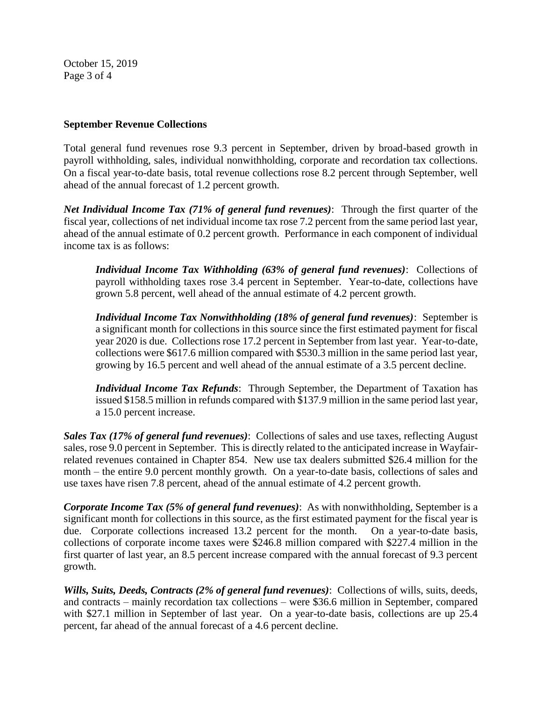October 15, 2019 Page 3 of 4

### **September Revenue Collections**

Total general fund revenues rose 9.3 percent in September, driven by broad-based growth in payroll withholding, sales, individual nonwithholding, corporate and recordation tax collections. On a fiscal year-to-date basis, total revenue collections rose 8.2 percent through September, well ahead of the annual forecast of 1.2 percent growth.

*Net Individual Income Tax (71% of general fund revenues)*: Through the first quarter of the fiscal year, collections of net individual income tax rose 7.2 percent from the same period last year, ahead of the annual estimate of 0.2 percent growth. Performance in each component of individual income tax is as follows:

*Individual Income Tax Withholding (63% of general fund revenues)*: Collections of payroll withholding taxes rose 3.4 percent in September. Year-to-date, collections have grown 5.8 percent, well ahead of the annual estimate of 4.2 percent growth.

*Individual Income Tax Nonwithholding (18% of general fund revenues)*: September is a significant month for collections in this source since the first estimated payment for fiscal year 2020 is due. Collections rose 17.2 percent in September from last year. Year-to-date, collections were \$617.6 million compared with \$530.3 million in the same period last year, growing by 16.5 percent and well ahead of the annual estimate of a 3.5 percent decline.

*Individual Income Tax Refunds*: Through September, the Department of Taxation has issued \$158.5 million in refunds compared with \$137.9 million in the same period last year, a 15.0 percent increase.

*Sales Tax (17% of general fund revenues)*: Collections of sales and use taxes, reflecting August sales, rose 9.0 percent in September. This is directly related to the anticipated increase in Wayfairrelated revenues contained in Chapter 854. New use tax dealers submitted \$26.4 million for the month – the entire 9.0 percent monthly growth. On a year-to-date basis, collections of sales and use taxes have risen 7.8 percent, ahead of the annual estimate of 4.2 percent growth.

*Corporate Income Tax (5% of general fund revenues)*: As with nonwithholding, September is a significant month for collections in this source, as the first estimated payment for the fiscal year is due. Corporate collections increased 13.2 percent for the month. On a year-to-date basis, collections of corporate income taxes were \$246.8 million compared with \$227.4 million in the first quarter of last year, an 8.5 percent increase compared with the annual forecast of 9.3 percent growth.

*Wills, Suits, Deeds, Contracts (2% of general fund revenues)*: Collections of wills, suits, deeds, and contracts – mainly recordation tax collections – were \$36.6 million in September, compared with \$27.1 million in September of last year. On a year-to-date basis, collections are up 25.4 percent, far ahead of the annual forecast of a 4.6 percent decline.